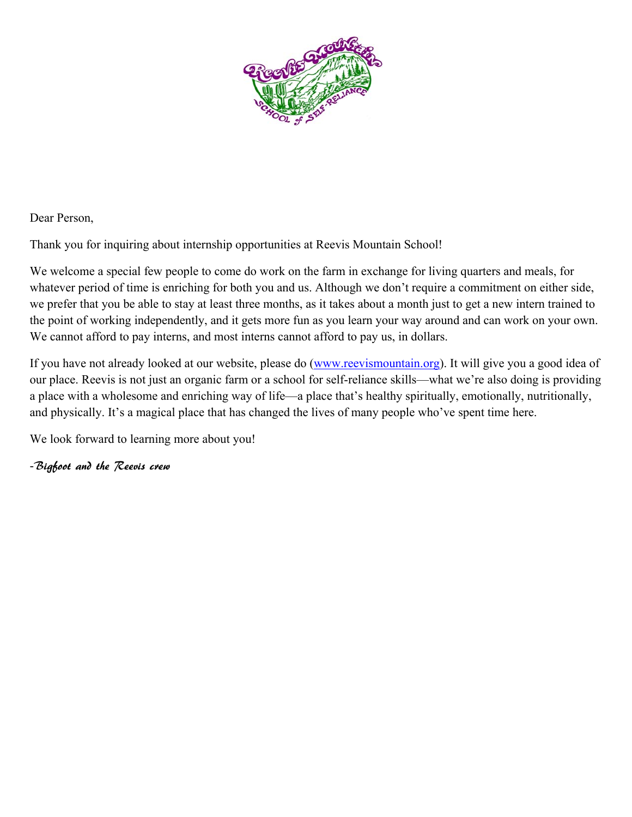

Dear Person,

Thank you for inquiring about internship opportunities at Reevis Mountain School!

We welcome a special few people to come do work on the farm in exchange for living quarters and meals, for whatever period of time is enriching for both you and us. Although we don't require a commitment on either side, we prefer that you be able to stay at least three months, as it takes about a month just to get a new intern trained to the point of working independently, and it gets more fun as you learn your way around and can work on your own. We cannot afford to pay interns, and most interns cannot afford to pay us, in dollars.

If you have not already looked at our website, please do (www.reevismountain.org). It will give you a good idea of our place. Reevis is not just an organic farm or a school for self-reliance skills—what we're also doing is providing a place with a wholesome and enriching way of life—a place that's healthy spiritually, emotionally, nutritionally, and physically. It's a magical place that has changed the lives of many people who've spent time here.

We look forward to learning more about you!

-Bigfoot and the Reevis crew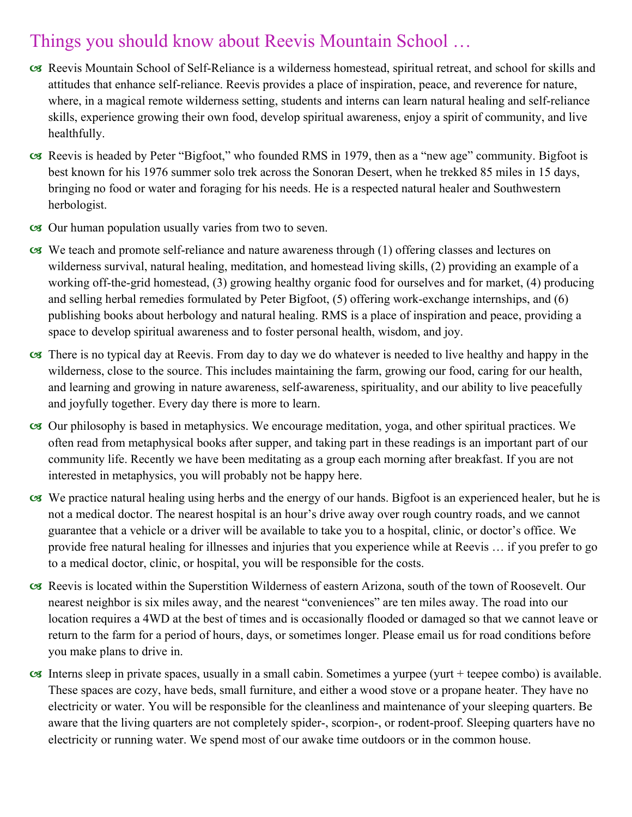## Things you should know about Reevis Mountain School …

- Reevis Mountain School of Self-Reliance is a wilderness homestead, spiritual retreat, and school for skills and attitudes that enhance self-reliance. Reevis provides a place of inspiration, peace, and reverence for nature, where, in a magical remote wilderness setting, students and interns can learn natural healing and self-reliance skills, experience growing their own food, develop spiritual awareness, enjoy a spirit of community, and live healthfully.
- Reevis is headed by Peter "Bigfoot," who founded RMS in 1979, then as a "new age" community. Bigfoot is best known for his 1976 summer solo trek across the Sonoran Desert, when he trekked 85 miles in 15 days, bringing no food or water and foraging for his needs. He is a respected natural healer and Southwestern herbologist.
- Our human population usually varies from two to seven.
- We teach and promote self-reliance and nature awareness through (1) offering classes and lectures on wilderness survival, natural healing, meditation, and homestead living skills, (2) providing an example of a working off-the-grid homestead, (3) growing healthy organic food for ourselves and for market, (4) producing and selling herbal remedies formulated by Peter Bigfoot, (5) offering work-exchange internships, and (6) publishing books about herbology and natural healing. RMS is a place of inspiration and peace, providing a space to develop spiritual awareness and to foster personal health, wisdom, and joy.
- There is no typical day at Reevis. From day to day we do whatever is needed to live healthy and happy in the wilderness, close to the source. This includes maintaining the farm, growing our food, caring for our health, and learning and growing in nature awareness, self-awareness, spirituality, and our ability to live peacefully and joyfully together. Every day there is more to learn.
- Our philosophy is based in metaphysics. We encourage meditation, yoga, and other spiritual practices. We often read from metaphysical books after supper, and taking part in these readings is an important part of our community life. Recently we have been meditating as a group each morning after breakfast. If you are not interested in metaphysics, you will probably not be happy here.
- We practice natural healing using herbs and the energy of our hands. Bigfoot is an experienced healer, but he is not a medical doctor. The nearest hospital is an hour's drive away over rough country roads, and we cannot guarantee that a vehicle or a driver will be available to take you to a hospital, clinic, or doctor's office. We provide free natural healing for illnesses and injuries that you experience while at Reevis … if you prefer to go to a medical doctor, clinic, or hospital, you will be responsible for the costs.
- Reevis is located within the Superstition Wilderness of eastern Arizona, south of the town of Roosevelt. Our nearest neighbor is six miles away, and the nearest "conveniences" are ten miles away. The road into our location requires a 4WD at the best of times and is occasionally flooded or damaged so that we cannot leave or return to the farm for a period of hours, days, or sometimes longer. Please email us for road conditions before you make plans to drive in.
- $\alpha$  Interns sleep in private spaces, usually in a small cabin. Sometimes a yurpee (yurt + teepee combo) is available. These spaces are cozy, have beds, small furniture, and either a wood stove or a propane heater. They have no electricity or water. You will be responsible for the cleanliness and maintenance of your sleeping quarters. Be aware that the living quarters are not completely spider-, scorpion-, or rodent-proof. Sleeping quarters have no electricity or running water. We spend most of our awake time outdoors or in the common house.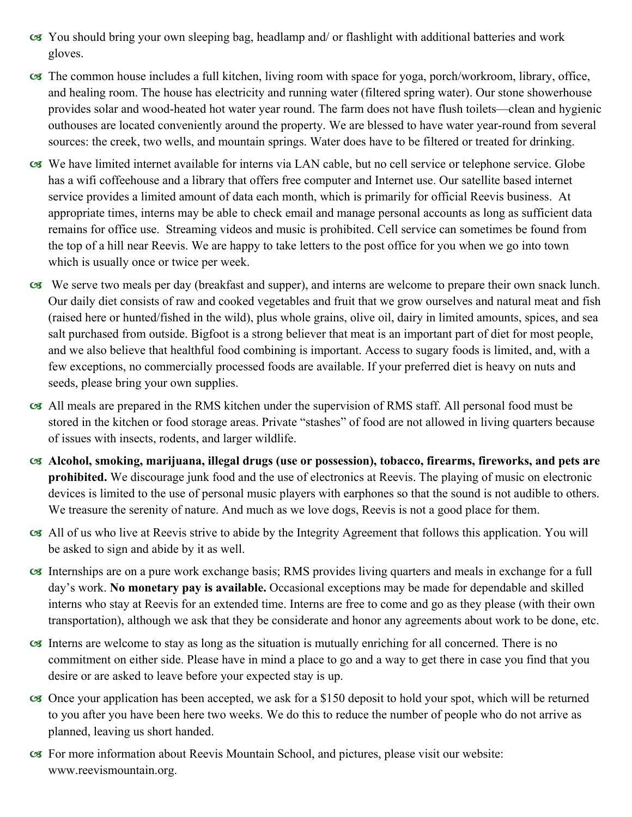- You should bring your own sleeping bag, headlamp and/ or flashlight with additional batteries and work gloves.
- The common house includes a full kitchen, living room with space for yoga, porch/workroom, library, office, and healing room. The house has electricity and running water (filtered spring water). Our stone showerhouse provides solar and wood-heated hot water year round. The farm does not have flush toilets—clean and hygienic outhouses are located conveniently around the property. We are blessed to have water year-round from several sources: the creek, two wells, and mountain springs. Water does have to be filtered or treated for drinking.
- We have limited internet available for interns via LAN cable, but no cell service or telephone service. Globe has a wifi coffeehouse and a library that offers free computer and Internet use. Our satellite based internet service provides a limited amount of data each month, which is primarily for official Reevis business. At appropriate times, interns may be able to check email and manage personal accounts as long as sufficient data remains for office use. Streaming videos and music is prohibited. Cell service can sometimes be found from the top of a hill near Reevis. We are happy to take letters to the post office for you when we go into town which is usually once or twice per week.
- We serve two meals per day (breakfast and supper), and interns are welcome to prepare their own snack lunch. Our daily diet consists of raw and cooked vegetables and fruit that we grow ourselves and natural meat and fish (raised here or hunted/fished in the wild), plus whole grains, olive oil, dairy in limited amounts, spices, and sea salt purchased from outside. Bigfoot is a strong believer that meat is an important part of diet for most people, and we also believe that healthful food combining is important. Access to sugary foods is limited, and, with a few exceptions, no commercially processed foods are available. If your preferred diet is heavy on nuts and seeds, please bring your own supplies.
- All meals are prepared in the RMS kitchen under the supervision of RMS staff. All personal food must be stored in the kitchen or food storage areas. Private "stashes" of food are not allowed in living quarters because of issues with insects, rodents, and larger wildlife.
- **Alcohol, smoking, marijuana, illegal drugs (use or possession), tobacco, firearms, fireworks, and pets are prohibited.** We discourage junk food and the use of electronics at Reevis. The playing of music on electronic devices is limited to the use of personal music players with earphones so that the sound is not audible to others. We treasure the serenity of nature. And much as we love dogs, Reevis is not a good place for them.
- All of us who live at Reevis strive to abide by the Integrity Agreement that follows this application. You will be asked to sign and abide by it as well.
- Internships are on a pure work exchange basis; RMS provides living quarters and meals in exchange for a full day's work. **No monetary pay is available.** Occasional exceptions may be made for dependable and skilled interns who stay at Reevis for an extended time. Interns are free to come and go as they please (with their own transportation), although we ask that they be considerate and honor any agreements about work to be done, etc.
- Interns are welcome to stay as long as the situation is mutually enriching for all concerned. There is no commitment on either side. Please have in mind a place to go and a way to get there in case you find that you desire or are asked to leave before your expected stay is up.
- Once your application has been accepted, we ask for a \$150 deposit to hold your spot, which will be returned to you after you have been here two weeks. We do this to reduce the number of people who do not arrive as planned, leaving us short handed.
- For more information about Reevis Mountain School, and pictures, please visit our website: www.reevismountain.org.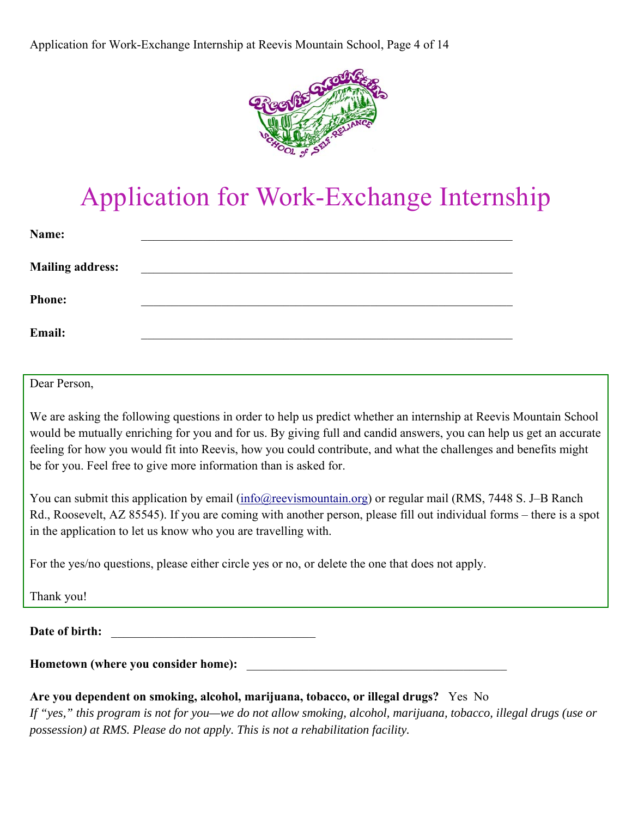Application for Work-Exchange Internship at Reevis Mountain School, Page 4 of 14



# Application for Work-Exchange Internship

| Name:                   |  |  |
|-------------------------|--|--|
| <b>Mailing address:</b> |  |  |
| <b>Phone:</b>           |  |  |
| Email:                  |  |  |

Dear Person,

We are asking the following questions in order to help us predict whether an internship at Reevis Mountain School would be mutually enriching for you and for us. By giving full and candid answers, you can help us get an accurate feeling for how you would fit into Reevis, how you could contribute, and what the challenges and benefits might be for you. Feel free to give more information than is asked for.

You can submit this application by email (info@reevismountain.org) or regular mail (RMS, 7448 S. J–B Ranch Rd., Roosevelt, AZ 85545). If you are coming with another person, please fill out individual forms – there is a spot in the application to let us know who you are travelling with.

For the yes/no questions, please either circle yes or no, or delete the one that does not apply.

Thank you!

Date of birth:

Hometown (where you consider home):

#### **Are you dependent on smoking, alcohol, marijuana, tobacco, or illegal drugs?** Yes No

*If "yes," this program is not for you—we do not allow smoking, alcohol, marijuana, tobacco, illegal drugs (use or possession) at RMS. Please do not apply. This is not a rehabilitation facility.*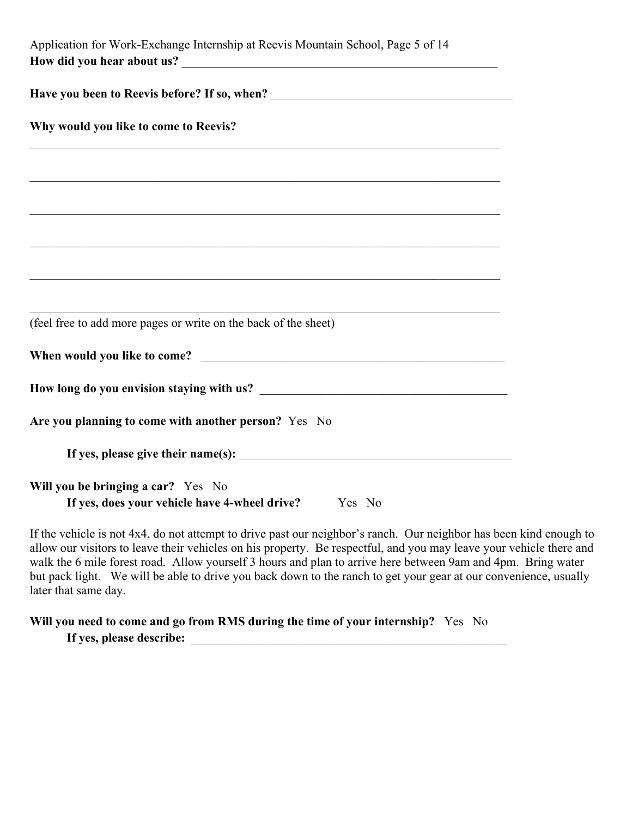| Application for Work-Exchange Internship at Reevis Mountain School, Page 5 of 14           |
|--------------------------------------------------------------------------------------------|
|                                                                                            |
| Why would you like to come to Reevis?                                                      |
|                                                                                            |
| ,我们也不能在这里的时候,我们也不能在这里的时候,我们也不能会不能会不能会不能会不能会不能会不能会。""我们的人们,我们也不能会不能会不能会不能会不能会不能会不           |
|                                                                                            |
|                                                                                            |
|                                                                                            |
| (feel free to add more pages or write on the back of the sheet)                            |
|                                                                                            |
|                                                                                            |
| Are you planning to come with another person? Yes No                                       |
|                                                                                            |
| Will you be bringing a car? Yes No<br>If yes, does your vehicle have 4-wheel drive? Yes No |

If the vehicle is not 4x4, do not attempt to drive past our neighbor's ranch. Our neighbor has been kind enough to allow our visitors to leave their vehicles on his property. Be respectful, and you may leave your vehicle there and walk the 6 mile forest road. Allow yourself 3 hours and plan to arrive here between 9am and 4pm. Bring water but pack light. We will be able to drive you back down to the ranch to get your gear at our convenience, usually later that same day.

#### **Will you need to come and go from RMS during the time of your internship?** Yes No If yes, please describe: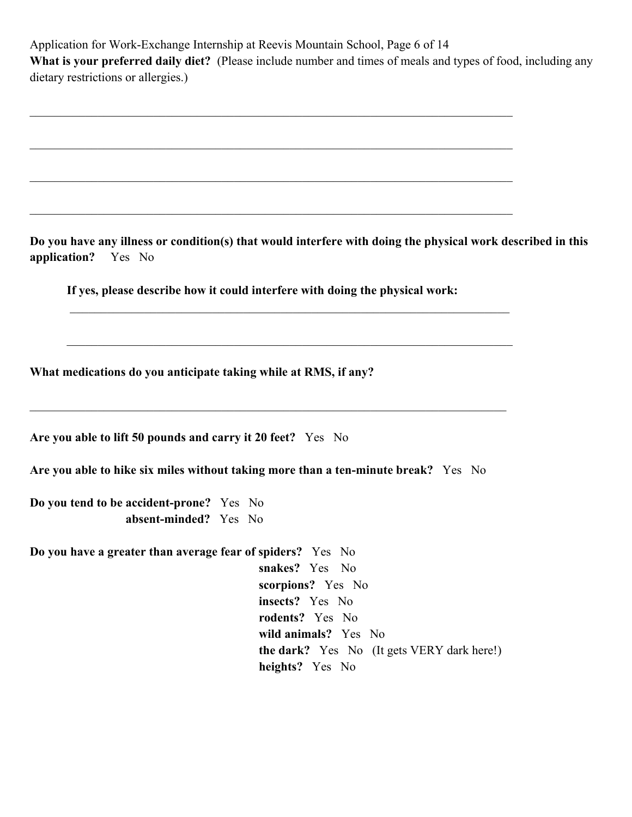| Application for Work-Exchange Internship at Reevis Mountain School, Page 6 of 14 |                                                                                                               |  |  |  |  |  |
|----------------------------------------------------------------------------------|---------------------------------------------------------------------------------------------------------------|--|--|--|--|--|
|                                                                                  | What is your preferred daily diet? (Please include number and times of meals and types of food, including any |  |  |  |  |  |
| dietary restrictions or allergies.)                                              |                                                                                                               |  |  |  |  |  |

**Do you have any illness or condition(s) that would interfere with doing the physical work described in this application?** Yes No

 **If yes, please describe how it could interfere with doing the physical work:** 

 $\_$  , and the set of the set of the set of the set of the set of the set of the set of the set of the set of the set of the set of the set of the set of the set of the set of the set of the set of the set of the set of th

 $\_$  , and the set of the set of the set of the set of the set of the set of the set of the set of the set of the set of the set of the set of the set of the set of the set of the set of the set of the set of the set of th

**What medications do you anticipate taking while at RMS, if any?**

| Are you able to lift 50 pounds and carry it 20 feet? Yes No |  |  |  |  |
|-------------------------------------------------------------|--|--|--|--|
|-------------------------------------------------------------|--|--|--|--|

**Are you able to hike six miles without taking more than a ten-minute break?** Yes No

**Do you tend to be accident-prone?** Yes No  **absent-minded?** Yes No

**Do you have a greater than average fear of spiders?** Yes No  **snakes?** Yes No  **scorpions?** Yes No  **insects?** Yes No  **rodents?** Yes No  **wild animals?** Yes No  **the dark?** Yes No (It gets VERY dark here!)  **heights?** Yes No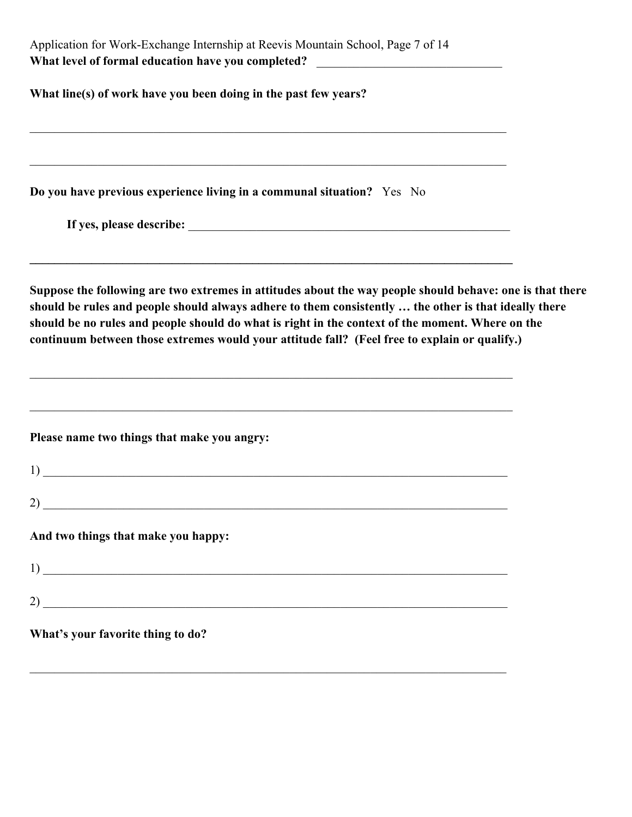| Application for Work-Exchange Internship at Reevis Mountain School, Page 7 of 14 |  |  |  |  |
|----------------------------------------------------------------------------------|--|--|--|--|
| What level of formal education have you completed?                               |  |  |  |  |
|                                                                                  |  |  |  |  |
| What line(s) of work have you been doing in the past few years?                  |  |  |  |  |

**Do you have previous experience living in a communal situation?** Yes No

**If yes, please describe:** \_\_\_\_\_\_\_\_\_\_\_\_\_\_\_\_\_\_\_\_\_\_\_\_\_\_\_\_\_\_\_\_\_\_\_\_\_\_\_\_\_\_\_\_\_\_\_\_\_\_\_\_

**Suppose the following are two extremes in attitudes about the way people should behave: one is that there should be rules and people should always adhere to them consistently … the other is that ideally there should be no rules and people should do what is right in the context of the moment. Where on the continuum between those extremes would your attitude fall? (Feel free to explain or qualify.)**

**\_\_\_\_\_\_\_\_\_\_\_\_\_\_\_\_\_\_\_\_\_\_\_\_\_\_\_\_\_\_\_\_\_\_\_\_\_\_\_\_\_\_\_\_\_\_\_\_\_\_\_\_\_\_\_\_\_\_\_\_\_\_\_\_\_\_\_\_\_\_\_\_\_\_\_\_\_\_** 

**Please name two things that make you angry:**

| $\frac{1}{2}$                              |  |  |
|--------------------------------------------|--|--|
| $\overline{2}$ ) $\overline{\phantom{2}2}$ |  |  |
| And two things that make you happy:        |  |  |
| $\frac{1}{2}$                              |  |  |
| $2)$ $\overline{\phantom{a}}$              |  |  |
| What's your favorite thing to do?          |  |  |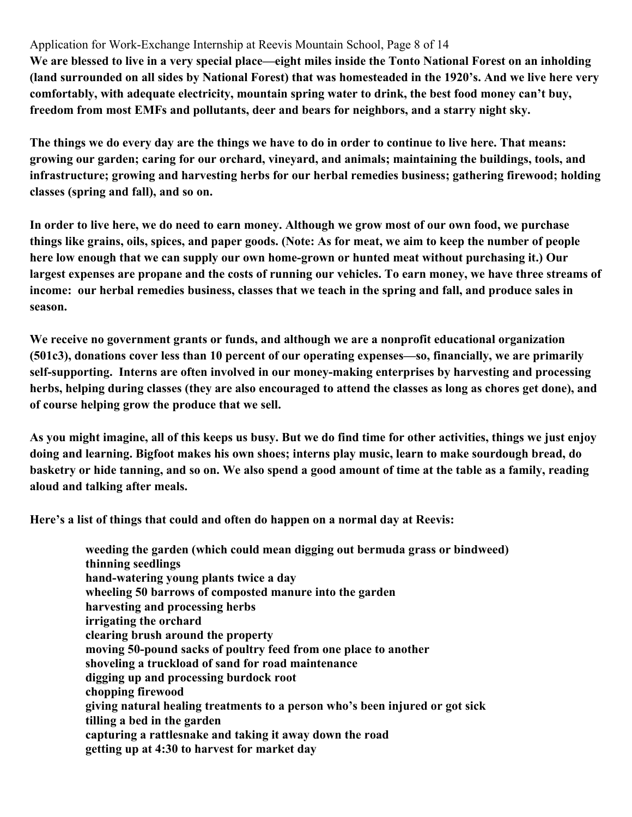Application for Work-Exchange Internship at Reevis Mountain School, Page 8 of 14

**We are blessed to live in a very special place—eight miles inside the Tonto National Forest on an inholding (land surrounded on all sides by National Forest) that was homesteaded in the 1920's. And we live here very comfortably, with adequate electricity, mountain spring water to drink, the best food money can't buy, freedom from most EMFs and pollutants, deer and bears for neighbors, and a starry night sky.** 

**The things we do every day are the things we have to do in order to continue to live here. That means: growing our garden; caring for our orchard, vineyard, and animals; maintaining the buildings, tools, and infrastructure; growing and harvesting herbs for our herbal remedies business; gathering firewood; holding classes (spring and fall), and so on.** 

**In order to live here, we do need to earn money. Although we grow most of our own food, we purchase things like grains, oils, spices, and paper goods. (Note: As for meat, we aim to keep the number of people here low enough that we can supply our own home-grown or hunted meat without purchasing it.) Our largest expenses are propane and the costs of running our vehicles. To earn money, we have three streams of income: our herbal remedies business, classes that we teach in the spring and fall, and produce sales in season.** 

**We receive no government grants or funds, and although we are a nonprofit educational organization (501c3), donations cover less than 10 percent of our operating expenses—so, financially, we are primarily self-supporting. Interns are often involved in our money-making enterprises by harvesting and processing herbs, helping during classes (they are also encouraged to attend the classes as long as chores get done), and of course helping grow the produce that we sell.** 

**As you might imagine, all of this keeps us busy. But we do find time for other activities, things we just enjoy doing and learning. Bigfoot makes his own shoes; interns play music, learn to make sourdough bread, do basketry or hide tanning, and so on. We also spend a good amount of time at the table as a family, reading aloud and talking after meals.** 

**Here's a list of things that could and often do happen on a normal day at Reevis:** 

**weeding the garden (which could mean digging out bermuda grass or bindweed) thinning seedlings hand-watering young plants twice a day wheeling 50 barrows of composted manure into the garden harvesting and processing herbs irrigating the orchard clearing brush around the property moving 50-pound sacks of poultry feed from one place to another shoveling a truckload of sand for road maintenance digging up and processing burdock root chopping firewood giving natural healing treatments to a person who's been injured or got sick tilling a bed in the garden capturing a rattlesnake and taking it away down the road getting up at 4:30 to harvest for market day**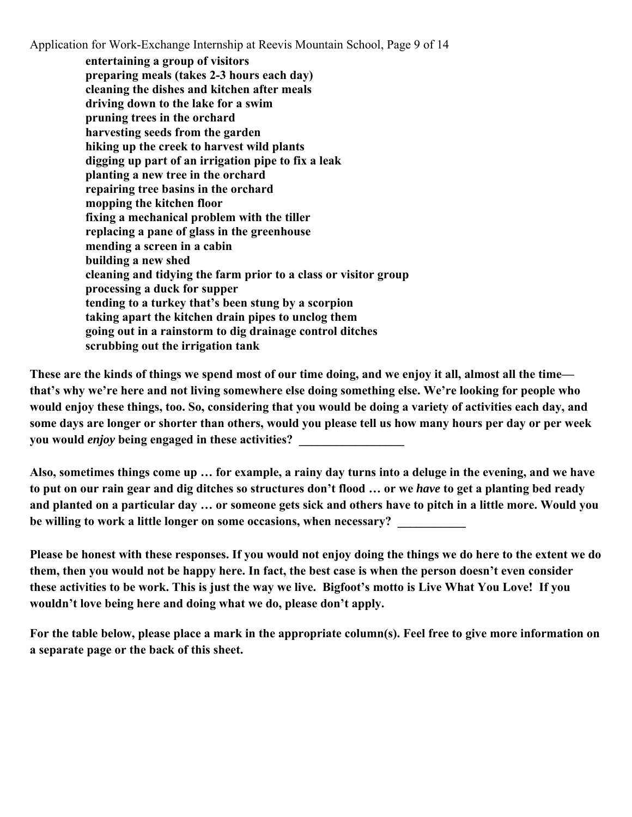Application for Work-Exchange Internship at Reevis Mountain School, Page 9 of 14

**entertaining a group of visitors preparing meals (takes 2-3 hours each day) cleaning the dishes and kitchen after meals driving down to the lake for a swim pruning trees in the orchard harvesting seeds from the garden hiking up the creek to harvest wild plants digging up part of an irrigation pipe to fix a leak planting a new tree in the orchard repairing tree basins in the orchard mopping the kitchen floor fixing a mechanical problem with the tiller replacing a pane of glass in the greenhouse mending a screen in a cabin building a new shed cleaning and tidying the farm prior to a class or visitor group processing a duck for supper tending to a turkey that's been stung by a scorpion taking apart the kitchen drain pipes to unclog them going out in a rainstorm to dig drainage control ditches scrubbing out the irrigation tank** 

**These are the kinds of things we spend most of our time doing, and we enjoy it all, almost all the time that's why we're here and not living somewhere else doing something else. We're looking for people who would enjoy these things, too. So, considering that you would be doing a variety of activities each day, and some days are longer or shorter than others, would you please tell us how many hours per day or per week you would** *enjoy* **being engaged in these activities? \_\_\_\_\_\_\_\_\_\_\_\_\_\_\_\_\_** 

**Also, sometimes things come up … for example, a rainy day turns into a deluge in the evening, and we have to put on our rain gear and dig ditches so structures don't flood … or we** *have* **to get a planting bed ready and planted on a particular day … or someone gets sick and others have to pitch in a little more. Would you**  be willing to work a little longer on some occasions, when necessary?

**Please be honest with these responses. If you would not enjoy doing the things we do here to the extent we do them, then you would not be happy here. In fact, the best case is when the person doesn't even consider these activities to be work. This is just the way we live. Bigfoot's motto is Live What You Love! If you wouldn't love being here and doing what we do, please don't apply.** 

**For the table below, please place a mark in the appropriate column(s). Feel free to give more information on a separate page or the back of this sheet.**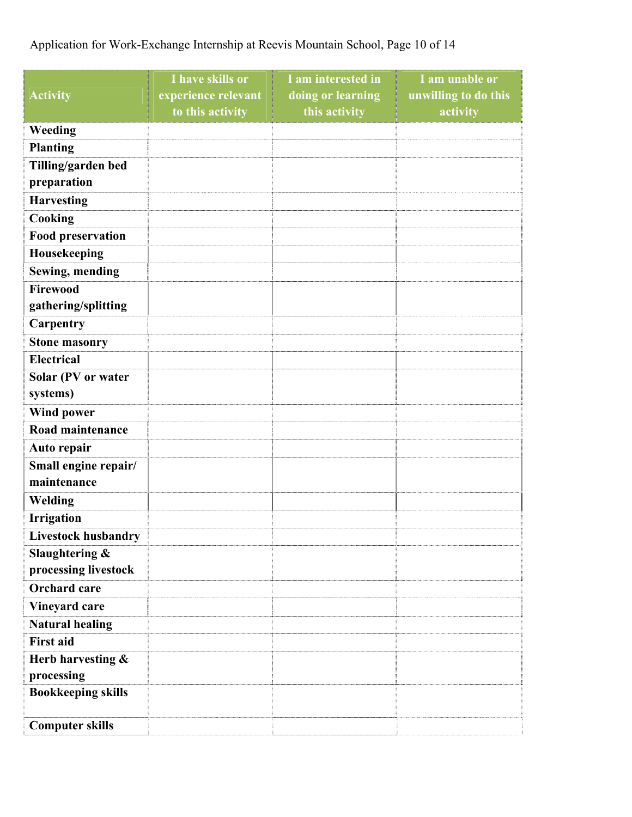### Application for Work-Exchange Internship at Reevis Mountain School, Page 10 of 14

|                            | I have skills or    | I am interested in | I am unable or       |
|----------------------------|---------------------|--------------------|----------------------|
| <b>Activity</b>            | experience relevant | doing or learning  | unwilling to do this |
|                            | to this activity    | this activity      | activity             |
| Weeding                    |                     |                    |                      |
| <b>Planting</b>            |                     |                    |                      |
| Tilling/garden bed         |                     |                    |                      |
| preparation                |                     |                    |                      |
| <b>Harvesting</b>          |                     |                    |                      |
| Cooking                    |                     |                    |                      |
| <b>Food preservation</b>   |                     |                    |                      |
| Housekeeping               |                     |                    |                      |
| <b>Sewing, mending</b>     |                     |                    |                      |
| Firewood                   |                     |                    |                      |
| gathering/splitting        |                     |                    |                      |
| Carpentry                  |                     |                    |                      |
| <b>Stone masonry</b>       |                     |                    |                      |
| <b>Electrical</b>          |                     |                    |                      |
| Solar (PV or water         |                     |                    |                      |
| systems)                   |                     |                    |                      |
| <b>Wind power</b>          |                     |                    |                      |
| Road maintenance           |                     |                    |                      |
| Auto repair                |                     |                    |                      |
| Small engine repair/       |                     |                    |                      |
| maintenance                |                     |                    |                      |
| Welding                    |                     |                    |                      |
| <b>Irrigation</b>          |                     |                    |                      |
| <b>Livestock husbandry</b> |                     |                    |                      |
| Slaughtering &             |                     |                    |                      |
| processing livestock       |                     |                    |                      |
| <b>Orchard</b> care        |                     |                    |                      |
| Vineyard care              |                     |                    |                      |
| <b>Natural healing</b>     |                     |                    |                      |
| <b>First aid</b>           |                     |                    |                      |
| Herb harvesting &          |                     |                    |                      |
| processing                 |                     |                    |                      |
| <b>Bookkeeping skills</b>  |                     |                    |                      |
|                            |                     |                    |                      |
| <b>Computer skills</b>     |                     |                    |                      |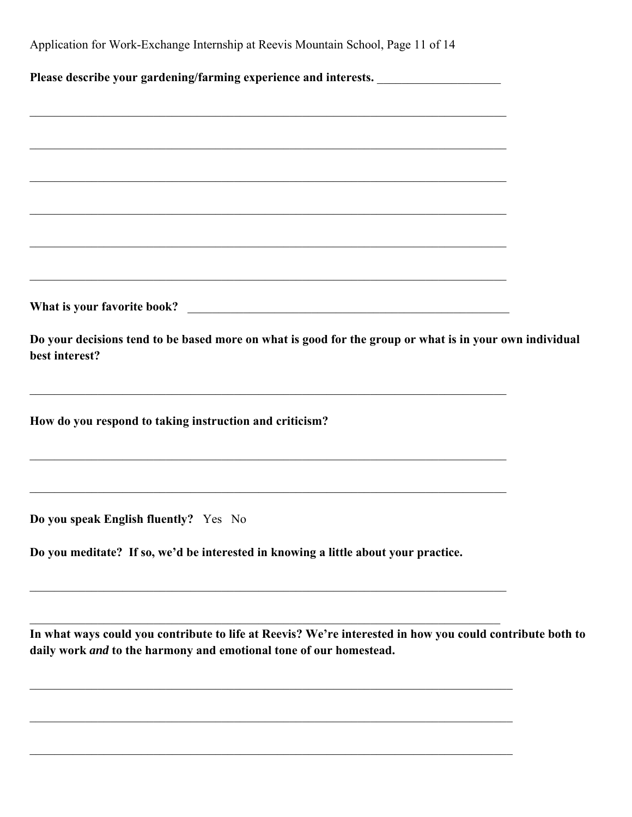| Do you meditate? If so, we'd be interested in knowing a little about your practice.                                       |
|---------------------------------------------------------------------------------------------------------------------------|
| Do you speak English fluently? Yes No                                                                                     |
|                                                                                                                           |
| How do you respond to taking instruction and criticism?                                                                   |
| <u> 1989 - Johann Stoff, deutscher Stoffen und der Stoffen und der Stoffen und der Stoffen und der Stoffen und der</u>    |
| Do your decisions tend to be based more on what is good for the group or what is in your own individual<br>best interest? |
|                                                                                                                           |
|                                                                                                                           |
| <u> 2008 - Jan James James James James James James James James James James James James James James James James J</u>      |
| <u> 1989 - Johann Stoff, deutscher Stoffen und der Stoffen und der Stoffen und der Stoffen und der Stoffen und de</u>     |
|                                                                                                                           |
|                                                                                                                           |
| <u> 1989 - Johann Stoff, amerikansk politiker (d. 1989)</u>                                                               |
|                                                                                                                           |
|                                                                                                                           |
| Application for Work-Exchange Internship at Reevis Mountain School, Page 11 of 14                                         |

**daily work** *and* **to the harmony and emotional tone of our homestead.**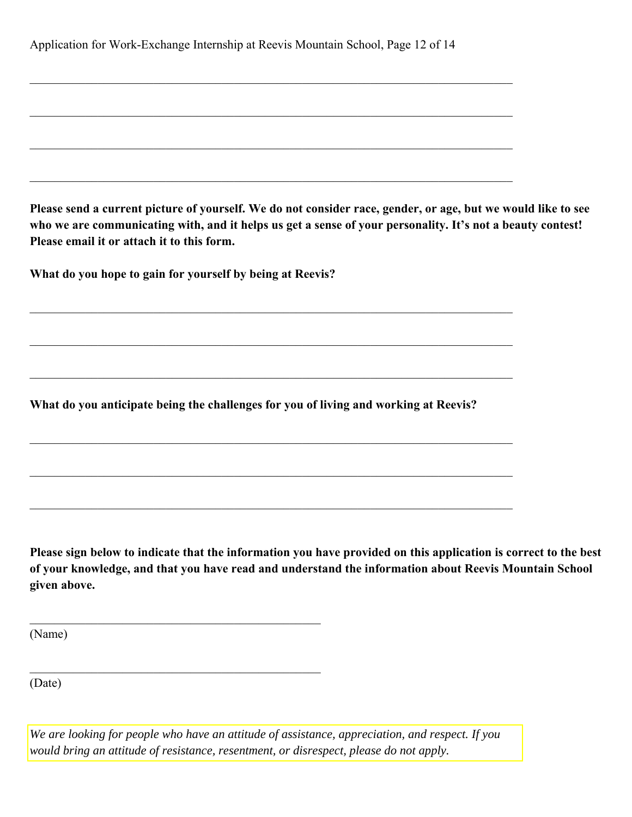|  | Application for Work-Exchange Internship at Reevis Mountain School, Page 12 of 14 |  |  |  |  |
|--|-----------------------------------------------------------------------------------|--|--|--|--|
|  |                                                                                   |  |  |  |  |

 $\_$  , and the set of the set of the set of the set of the set of the set of the set of the set of the set of the set of the set of the set of the set of the set of the set of the set of the set of the set of the set of th

**Please send a current picture of yourself. We do not consider race, gender, or age, but we would like to see who we are communicating with, and it helps us get a sense of your personality. It's not a beauty contest! Please email it or attach it to this form.**

**What do you hope to gain for yourself by being at Reevis?** 

**What do you anticipate being the challenges for you of living and working at Reevis?**

**Please sign below to indicate that the information you have provided on this application is correct to the best of your knowledge, and that you have read and understand the information about Reevis Mountain School given above.**

(Name)

(Date)

*We are looking for people who have an attitude of assistance, appreciation, and respect. If you would bring an attitude of resistance, resentment, or disrespect, please do not apply.*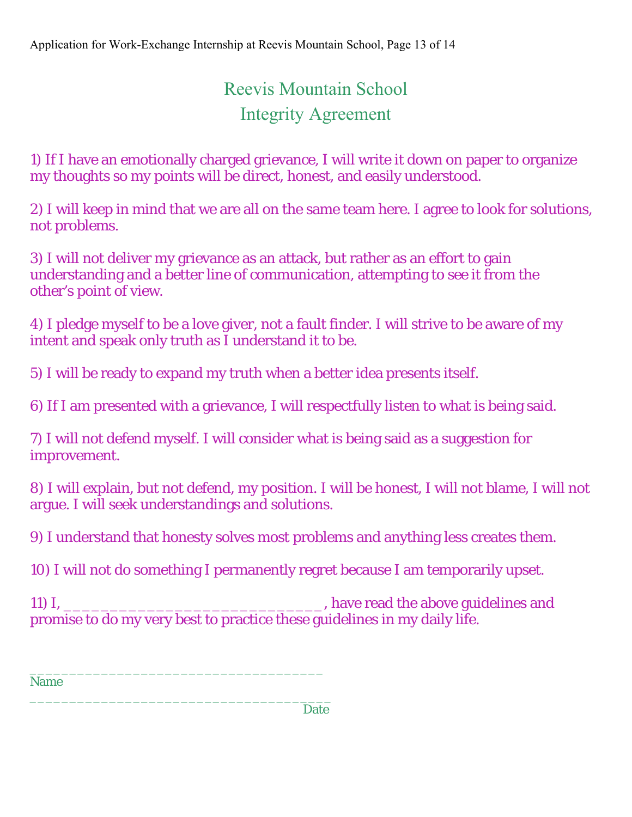## Reevis Mountain School Integrity Agreement

1) If I have an emotionally charged grievance, I will write it down on paper to organize my thoughts so my points will be direct, honest, and easily understood.

2) I will keep in mind that we are all on the same team here. I agree to look for solutions, not problems.

3) I will not deliver my grievance as an attack, but rather as an effort to gain understanding and a better line of communication, attempting to see it from the other's point of view.

4) I pledge myself to be a love giver, not a fault finder. I will strive to be aware of my intent and speak only truth as I understand it to be.

5) I will be ready to expand my truth when a better idea presents itself.

6) If I am presented with a grievance, I will respectfully listen to what is being said.

7) I will not defend myself. I will consider what is being said as a suggestion for improvement.

8) I will explain, but not defend, my position. I will be honest, I will not blame, I will not argue. I will seek understandings and solutions.

9) I understand that honesty solves most problems and anything less creates them.

10) I will not do something I permanently regret because I am temporarily upset.

11) I, \_\_\_\_\_\_\_\_\_\_\_\_\_\_\_\_\_\_\_\_\_\_\_\_\_\_\_\_\_\_\_\_\_\_, have read the above guidelines and promise to do my very best to practice these guidelines in my daily life.

\_\_\_\_\_\_\_\_\_\_\_\_\_\_\_\_\_\_\_\_\_\_\_\_\_\_\_\_\_\_\_\_\_\_\_\_\_ Name